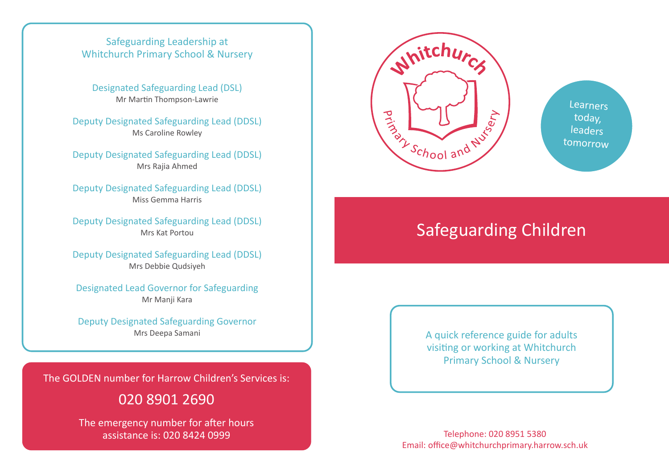#### Safeguarding Leadership at Whitchurch Primary School & Nursery

Designated Safeguarding Lead (DSL) Mr Martin Thompson-Lawrie

Deputy Designated Safeguarding Lead (DDSL) Ms Caroline Rowley

Deputy Designated Safeguarding Lead (DDSL) Mrs Rajia Ahmed

Deputy Designated Safeguarding Lead (DDSL) Miss Gemma Harris

Deputy Designated Safeguarding Lead (DDSL) Mrs Kat Portou

Deputy Designated Safeguarding Lead (DDSL) Mrs Debbie Qudsiyeh

Designated Lead Governor for Safeguarding Mr Manji Kara

Deputy Designated Safeguarding Governor Mrs Deepa Samani

The GOLDEN number for Harrow Children's Services is:

# 020 8901 2690

The emergency number for after hours assistance is: 020 8424 0999 Telephone: 020 8951 5380



**Learners** today, leaders tomorrow

# Safeguarding Children

A quick reference guide for adults visiting or working at Whitchurch Primary School & Nursery

Email: office@whitchurchprimary.harrow.sch.uk